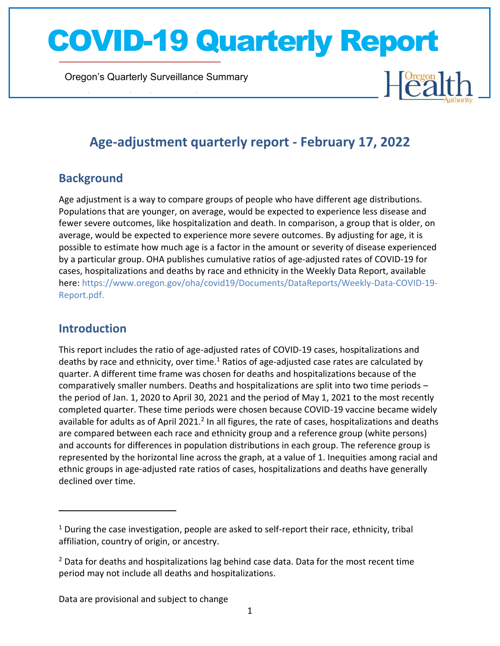Oregon's Quarterly Surveillance Summary

Novel Coronavirus (COVID-19)



#### **Age-adjustment quarterly report - February 17, 2022**

#### **Background**

Age adjustment is a way to compare groups of people who have different age distributions. Populations that are younger, on average, would be expected to experience less disease and fewer severe outcomes, like hospitalization and death. In comparison, a group that is older, on average, would be expected to experience more severe outcomes. By adjusting for age, it is possible to estimate how much age is a factor in the amount or severity of disease experienced by a particular group. OHA publishes cumulative ratios of age-adjusted rates of COVID-19 for cases, hospitalizations and deaths by race and ethnicity in the Weekly Data Report, available here: [https://www.oregon.gov/oha/covid19/Documents/DataReports/Weekly-Data-COVID-19-](https://www.oregon.gov/oha/covid19/Documents/DataReports/Weekly-Data-COVID-19-Report.pdf) [Report.pdf.](https://www.oregon.gov/oha/covid19/Documents/DataReports/Weekly-Data-COVID-19-Report.pdf)

#### **Introduction**

This report includes the ratio of age-adjusted rates of COVID-19 cases, hospitalizations and deaths by race and ethnicity, over time.<sup>1</sup> Ratios of age-adjusted case rates are calculated by quarter. A different time frame was chosen for deaths and hospitalizations because of the comparatively smaller numbers. Deaths and hospitalizations are split into two time periods – the period of Jan. 1, 2020 to April 30, 2021 and the period of May 1, 2021 to the most recently completed quarter. These time periods were chosen because COVID-19 vaccine became widely available for adults as of April 2021.<sup>2</sup> In all figures, the rate of cases, hospitalizations and deaths are compared between each race and ethnicity group and a reference group (white persons) and accounts for differences in population distributions in each group. The reference group is represented by the horizontal line across the graph, at a value of 1. Inequities among racial and ethnic groups in age-adjusted rate ratios of cases, hospitalizations and deaths have generally declined over time.

 $1$  During the case investigation, people are asked to self-report their race, ethnicity, tribal affiliation, country of origin, or ancestry.

 $<sup>2</sup>$  Data for deaths and hospitalizations lag behind case data. Data for the most recent time</sup> period may not include all deaths and hospitalizations.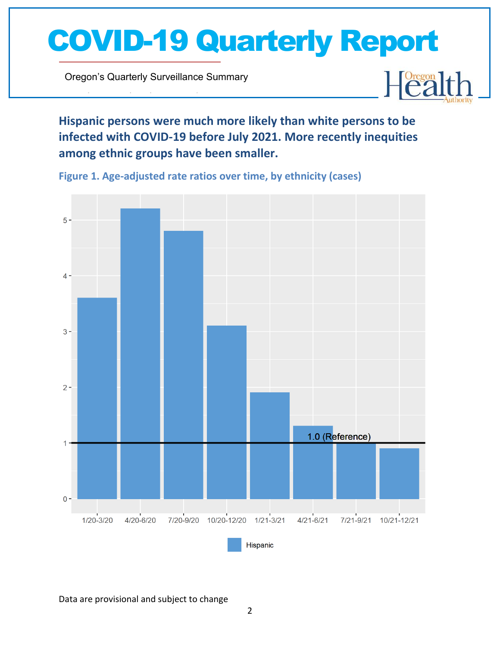Oregon's Quarterly Surveillance Summary

Novel Coronavirus (COVID-19)



**Hispanic persons were much more likely than white persons to be infected with COVID-19 before July 2021. More recently inequities among ethnic groups have been smaller.** 

**Figure 1. Age-adjusted rate ratios over time, by ethnicity (cases)**

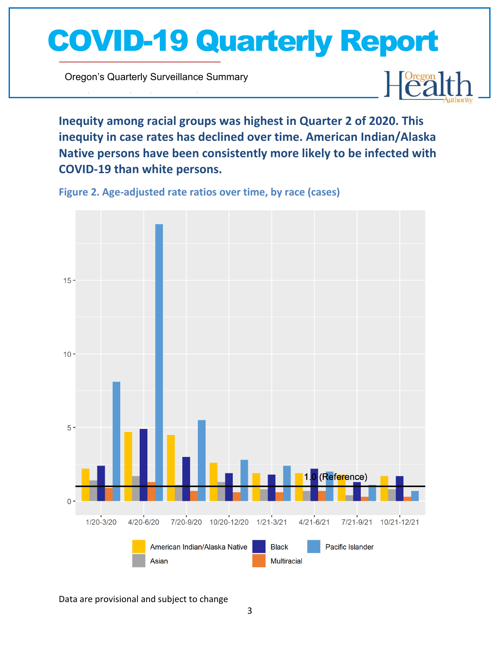Oregon's Quarterly Surveillance Summary

Novel Coronavirus (COVID-19)



**Inequity among racial groups was highest in Quarter 2 of 2020. This inequity in case rates has declined over time. American Indian/Alaska Native persons have been consistently more likely to be infected with COVID-19 than white persons.**

**Figure 2. Age-adjusted rate ratios over time, by race (cases)**

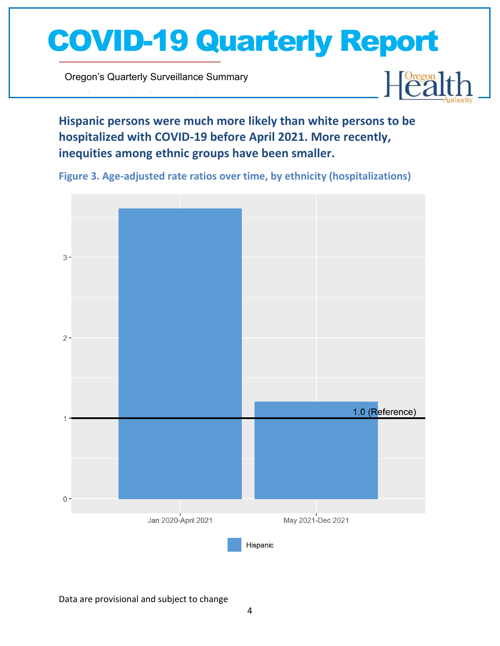Oregon's Quarterly Surveillance Summary

Novel Coronavirus (COVID-19)



**Hispanic persons were much more likely than white persons to be hospitalized with COVID-19 before April 2021. More recently, inequities among ethnic groups have been smaller.**

**Figure 3. Age-adjusted rate ratios over time, by ethnicity (hospitalizations)**

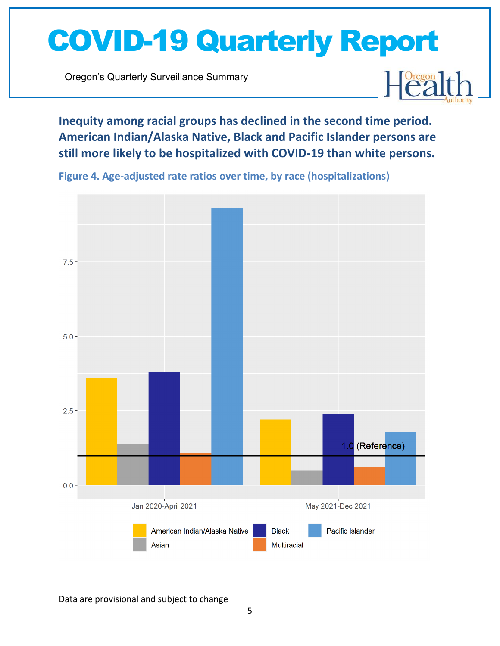Oregon's Quarterly Surveillance Summary

Novel Coronavirus (COVID-19)



**Inequity among racial groups has declined in the second time period. American Indian/Alaska Native, Black and Pacific Islander persons are still more likely to be hospitalized with COVID-19 than white persons.**

**Figure 4. Age-adjusted rate ratios over time, by race (hospitalizations)**

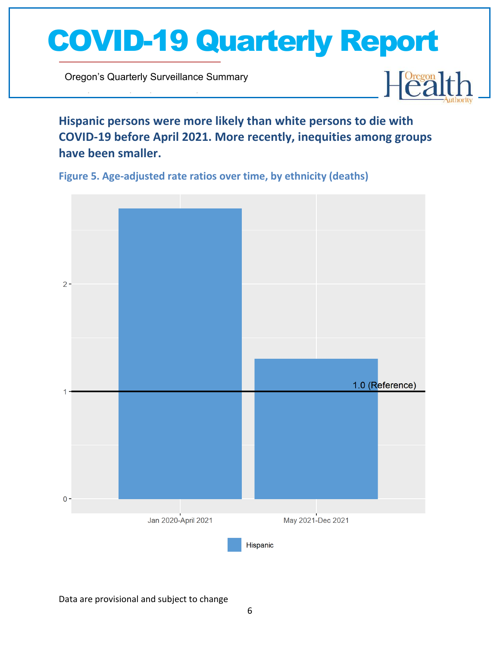Oregon's Quarterly Surveillance Summary

Novel Coronavirus (COVID-19)



**Hispanic persons were more likely than white persons to die with COVID-19 before April 2021. More recently, inequities among groups have been smaller.**

**Figure 5. Age-adjusted rate ratios over time, by ethnicity (deaths)**

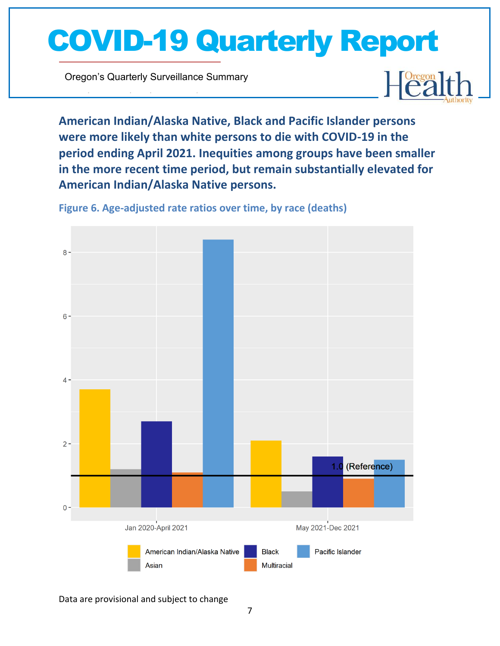Oregon's Quarterly Surveillance Summary

Novel Coronavirus (COVID-19)



**American Indian/Alaska Native, Black and Pacific Islander persons were more likely than white persons to die with COVID-19 in the period ending April 2021. Inequities among groups have been smaller in the more recent time period, but remain substantially elevated for American Indian/Alaska Native persons.**



**Figure 6. Age-adjusted rate ratios over time, by race (deaths)**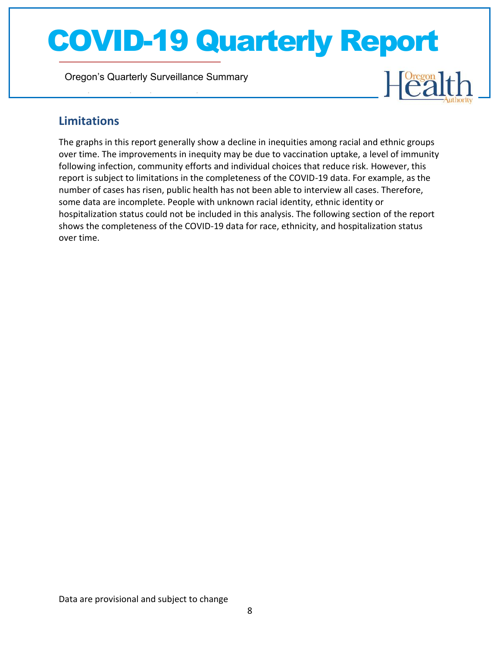Oregon's Quarterly Surveillance Summary

 $\mathcal{N}(\mathcal{N})$  . The coronavirus (COVID-19) is a coronavirus (COVID-19) is a coronavirus (COVID-19) is a coronavirus (COVID-19) is a coronavirus (COVID-19) is a coronavirus (COVID-19) is a coronavirus (COVID-19) is a coro



#### **Limitations**

The graphs in this report generally show a decline in inequities among racial and ethnic groups over time. The improvements in inequity may be due to vaccination uptake, a level of immunity following infection, community efforts and individual choices that reduce risk. However, this report is subject to limitations in the completeness of the COVID-19 data. For example, as the number of cases has risen, public health has not been able to interview all cases. Therefore, some data are incomplete. People with unknown racial identity, ethnic identity or hospitalization status could not be included in this analysis. The following section of the report shows the completeness of the COVID-19 data for race, ethnicity, and hospitalization status over time.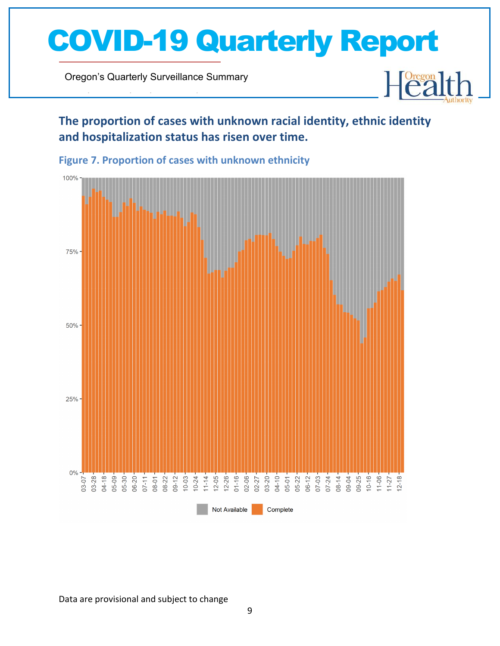Oregon's Quarterly Surveillance Summary

Novel Coronavirus (COVID-19)



#### **The proportion of cases with unknown racial identity, ethnic identity and hospitalization status has risen over time.**



**Figure 7. Proportion of cases with unknown ethnicity**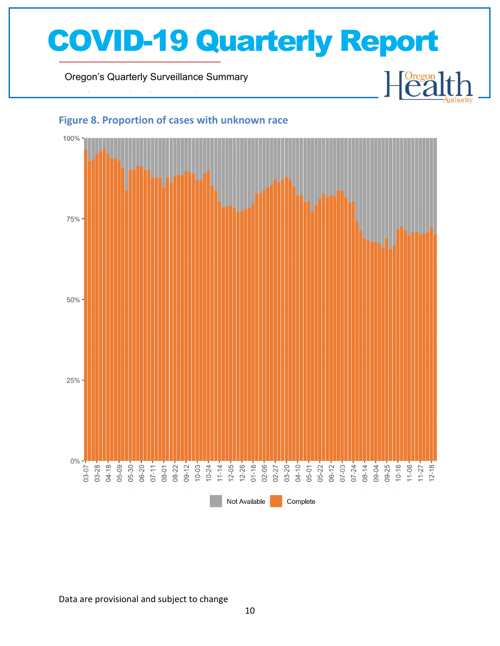$\left[\frac{O_{\text{regon}}}{O_{\text{2}}}\right]$ th

Oregon's Quarterly Surveillance Summary

Novel Coronavirus (COVID-19)



#### **Figure 8. Proportion of cases with unknown race**